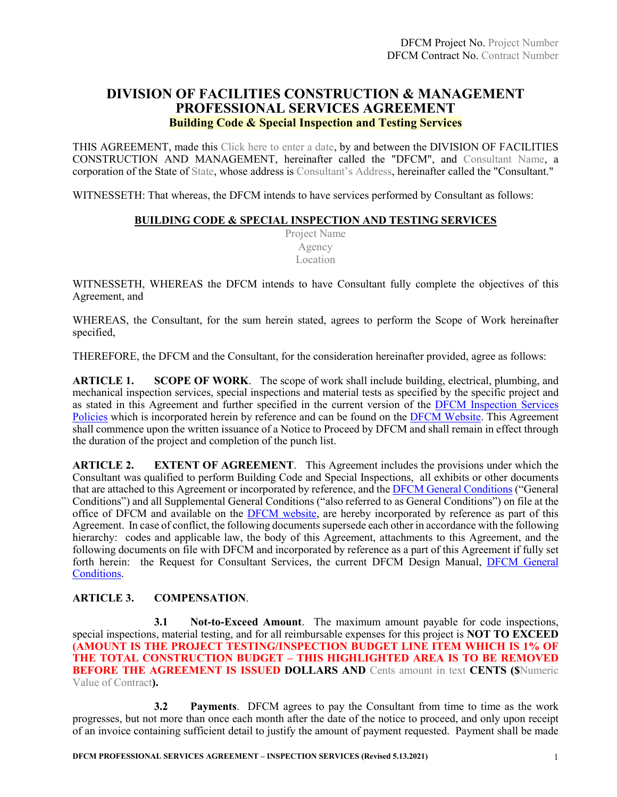# **DIVISION OF FACILITIES CONSTRUCTION & MANAGEMENT PROFESSIONAL SERVICES AGREEMENT Building Code & Special Inspection and Testing Services**

THIS AGREEMENT, made this Click here to enter a date, by and between the DIVISION OF FACILITIES CONSTRUCTION AND MANAGEMENT, hereinafter called the "DFCM", and Consultant Name, a corporation of the State of State, whose address is Consultant's Address, hereinafter called the "Consultant."

WITNESSETH: That whereas, the DFCM intends to have services performed by Consultant as follows:

#### **BUILDING CODE & SPECIAL INSPECTION AND TESTING SERVICES**

Project Name Agency Location

WITNESSETH, WHEREAS the DFCM intends to have Consultant fully complete the objectives of this Agreement, and

WHEREAS, the Consultant, for the sum herein stated, agrees to perform the Scope of Work hereinafter specified,

THEREFORE, the DFCM and the Consultant, for the consideration hereinafter provided, agree as follows:

**ARTICLE 1. SCOPE OF WORK**. The scope of work shall include building, electrical, plumbing, and mechanical inspection services, special inspections and material tests as specified by the specific project and as stated in this Agreement and further specified in the current version of the [DFCM Inspection Services](https://dfcm.utah.gov/wp-content/uploads/DFCM-Inspection-Services-Policies-for-FY2020-updated-5.9.2019.pdf)  [Policies](https://dfcm.utah.gov/wp-content/uploads/DFCM-Inspection-Services-Policies-for-FY2020-updated-5.9.2019.pdf) which is incorporated herein by reference and can be found on the [DFCM Website.](https://dfcm.utah.gov/) This Agreement shall commence upon the written issuance of a Notice to Proceed by DFCM and shall remain in effect through the duration of the project and completion of the punch list.

**ARTICLE 2. EXTENT OF AGREEMENT**. This Agreement includes the provisions under which the Consultant was qualified to perform Building Code and Special Inspections, all exhibits or other documents that are attached to this Agreement or incorporated by reference, and the **DFCM General Conditions** ("General Conditions") and all Supplemental General Conditions ("also referred to as General Conditions") on file at the office of DFCM and available on the **DFCM** website, are hereby incorporated by reference as part of this Agreement. In case of conflict, the following documents supersede each other in accordance with the following hierarchy: codes and applicable law, the body of this Agreement, attachments to this Agreement, and the following documents on file with DFCM and incorporated by reference as a part of this Agreement if fully set forth herein: the Request for Consultant Services, the current DFCM Design Manual, [DFCM General](https://dfcm.utah.gov/construction-management/#documents)  [Conditions.](https://dfcm.utah.gov/construction-management/#documents)

#### **ARTICLE 3. COMPENSATION**.

**3.1 Not-to-Exceed Amount**. The maximum amount payable for code inspections, special inspections, material testing, and for all reimbursable expenses for this project is **NOT TO EXCEED (AMOUNT IS THE PROJECT TESTING/INSPECTION BUDGET LINE ITEM WHICH IS 1% OF THE TOTAL CONSTRUCTION BUDGET – THIS HIGHLIGHTED AREA IS TO BE REMOVED BEFORE THE AGREEMENT IS ISSUED DOLLARS AND** Cents amount in text **CENTS (\$**Numeric Value of Contract**).**

**3.2 Payments**. DFCM agrees to pay the Consultant from time to time as the work progresses, but not more than once each month after the date of the notice to proceed, and only upon receipt of an invoice containing sufficient detail to justify the amount of payment requested. Payment shall be made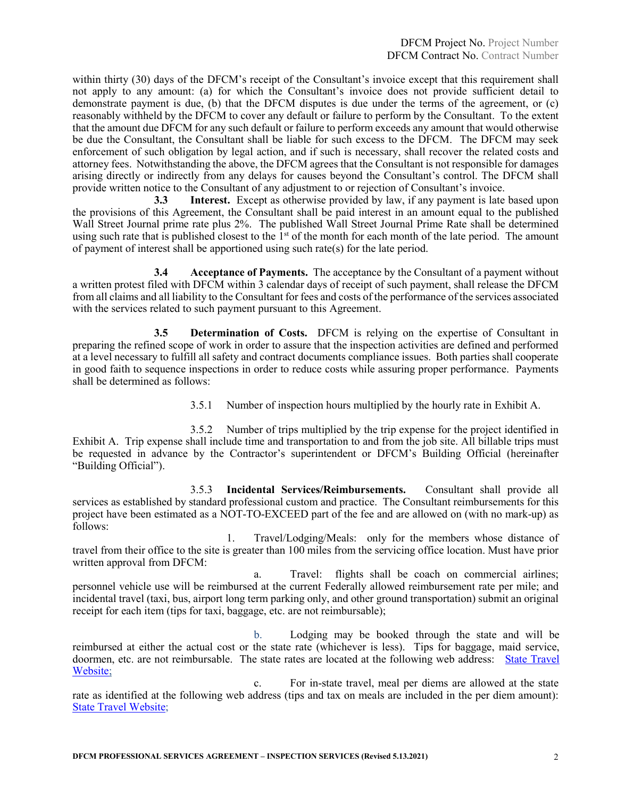within thirty (30) days of the DFCM's receipt of the Consultant's invoice except that this requirement shall not apply to any amount: (a) for which the Consultant's invoice does not provide sufficient detail to demonstrate payment is due, (b) that the DFCM disputes is due under the terms of the agreement, or (c) reasonably withheld by the DFCM to cover any default or failure to perform by the Consultant. To the extent that the amount due DFCM for any such default or failure to perform exceeds any amount that would otherwise be due the Consultant, the Consultant shall be liable for such excess to the DFCM. The DFCM may seek enforcement of such obligation by legal action, and if such is necessary, shall recover the related costs and attorney fees. Notwithstanding the above, the DFCM agrees that the Consultant is not responsible for damages arising directly or indirectly from any delays for causes beyond the Consultant's control. The DFCM shall provide written notice to the Consultant of any adjustment to or rejection of Consultant's invoice.

**3.3 Interest.** Except as otherwise provided by law, if any payment is late based upon the provisions of this Agreement, the Consultant shall be paid interest in an amount equal to the published Wall Street Journal prime rate plus 2%. The published Wall Street Journal Prime Rate shall be determined using such rate that is published closest to the  $1<sup>st</sup>$  of the month for each month of the late period. The amount of payment of interest shall be apportioned using such rate(s) for the late period.

**3.4 Acceptance of Payments.** The acceptance by the Consultant of a payment without a written protest filed with DFCM within 3 calendar days of receipt of such payment, shall release the DFCM from all claims and all liability to the Consultant for fees and costs of the performance of the services associated with the services related to such payment pursuant to this Agreement.

**3.5 Determination of Costs.** DFCM is relying on the expertise of Consultant in preparing the refined scope of work in order to assure that the inspection activities are defined and performed at a level necessary to fulfill all safety and contract documents compliance issues. Both parties shall cooperate in good faith to sequence inspections in order to reduce costs while assuring proper performance. Payments shall be determined as follows:

3.5.1 Number of inspection hours multiplied by the hourly rate in Exhibit A.

3.5.2 Number of trips multiplied by the trip expense for the project identified in Exhibit A. Trip expense shall include time and transportation to and from the job site. All billable trips must be requested in advance by the Contractor's superintendent or DFCM's Building Official (hereinafter "Building Official").

3.5.3 **Incidental Services/Reimbursements.** Consultant shall provide all services as established by standard professional custom and practice. The Consultant reimbursements for this project have been estimated as a NOT-TO-EXCEED part of the fee and are allowed on (with no mark-up) as follows:

1. Travel/Lodging/Meals:only for the members whose distance of travel from their office to the site is greater than 100 miles from the servicing office location. Must have prior written approval from DFCM:

a. Travel: flights shall be coach on commercial airlines; personnel vehicle use will be reimbursed at the current Federally allowed reimbursement rate per mile; and incidental travel (taxi, bus, airport long term parking only, and other ground transportation) submit an original receipt for each item (tips for taxi, baggage, etc. are not reimbursable);

b. Lodging may be booked through the state and will be reimbursed at either the actual cost or the state rate (whichever is less). Tips for baggage, maid service, doormen, etc. are not reimbursable. The state rates are located at the following web address: [State Travel](http://fleet.utah.gov/state-travel-a/)  [Website;](http://fleet.utah.gov/state-travel-a/)

c. For in-state travel, meal per diems are allowed at the state rate as identified at the following web address (tips and tax on meals are included in the per diem amount): [State Travel Website;](http://fleet.utah.gov/state-travel-a/)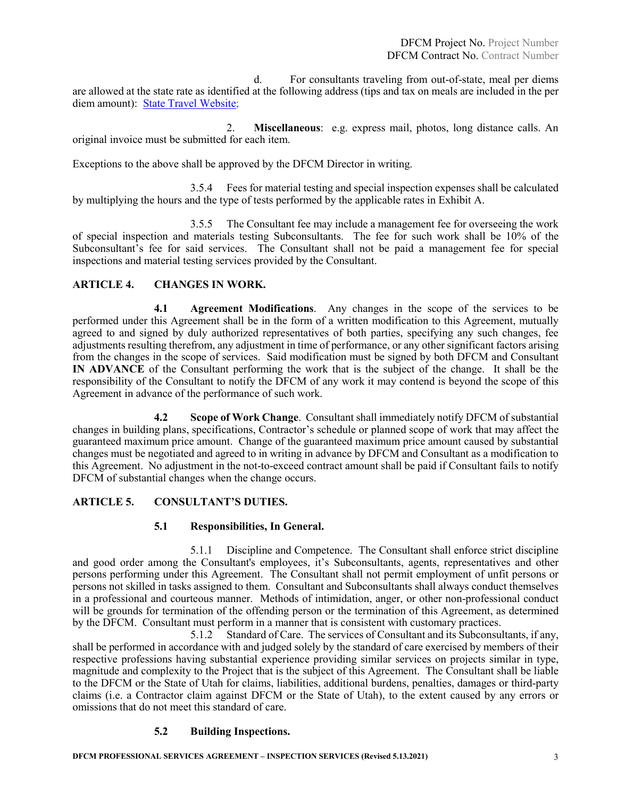d. For consultants traveling from out-of-state, meal per diems are allowed at the state rate as identified at the following address (tips and tax on meals are included in the per diem amount): [State Travel Website;](http://fleet.utah.gov/state-travel-a/)

2. **Miscellaneous**: e.g. express mail, photos, long distance calls. An original invoice must be submitted for each item.

Exceptions to the above shall be approved by the DFCM Director in writing.

3.5.4 Fees for material testing and special inspection expenses shall be calculated by multiplying the hours and the type of tests performed by the applicable rates in Exhibit A.

3.5.5 The Consultant fee may include a management fee for overseeing the work of special inspection and materials testing Subconsultants. The fee for such work shall be 10% of the Subconsultant's fee for said services. The Consultant shall not be paid a management fee for special inspections and material testing services provided by the Consultant.

#### **ARTICLE 4. CHANGES IN WORK.**

**4.1 Agreement Modifications**. Any changes in the scope of the services to be performed under this Agreement shall be in the form of a written modification to this Agreement, mutually agreed to and signed by duly authorized representatives of both parties, specifying any such changes, fee adjustments resulting therefrom, any adjustment in time of performance, or any other significant factors arising from the changes in the scope of services. Said modification must be signed by both DFCM and Consultant **IN ADVANCE** of the Consultant performing the work that is the subject of the change. It shall be the responsibility of the Consultant to notify the DFCM of any work it may contend is beyond the scope of this Agreement in advance of the performance of such work.

**4.2 Scope of Work Change**. Consultant shall immediately notify DFCM of substantial changes in building plans, specifications, Contractor's schedule or planned scope of work that may affect the guaranteed maximum price amount. Change of the guaranteed maximum price amount caused by substantial changes must be negotiated and agreed to in writing in advance by DFCM and Consultant as a modification to this Agreement. No adjustment in the not-to-exceed contract amount shall be paid if Consultant fails to notify DFCM of substantial changes when the change occurs.

#### **ARTICLE 5. CONSULTANT'S DUTIES.**

#### **5.1 Responsibilities, In General.**

5.1.1 Discipline and Competence. The Consultant shall enforce strict discipline and good order among the Consultant's employees, it's Subconsultants, agents, representatives and other persons performing under this Agreement. The Consultant shall not permit employment of unfit persons or persons not skilled in tasks assigned to them. Consultant and Subconsultants shall always conduct themselves in a professional and courteous manner. Methods of intimidation, anger, or other non-professional conduct will be grounds for termination of the offending person or the termination of this Agreement, as determined by the DFCM. Consultant must perform in a manner that is consistent with customary practices.

5.1.2 Standard of Care.The services of Consultant and its Subconsultants, if any, shall be performed in accordance with and judged solely by the standard of care exercised by members of their respective professions having substantial experience providing similar services on projects similar in type, magnitude and complexity to the Project that is the subject of this Agreement. The Consultant shall be liable to the DFCM or the State of Utah for claims, liabilities, additional burdens, penalties, damages or third-party claims (i.e. a Contractor claim against DFCM or the State of Utah), to the extent caused by any errors or omissions that do not meet this standard of care.

#### **5.2 Building Inspections.**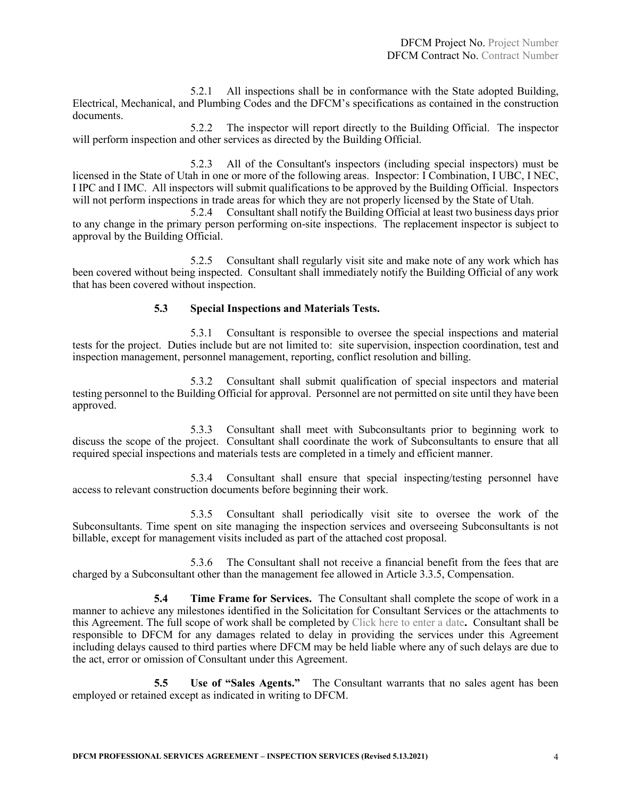5.2.1 All inspections shall be in conformance with the State adopted Building, Electrical, Mechanical, and Plumbing Codes and the DFCM's specifications as contained in the construction documents.

5.2.2 The inspector will report directly to the Building Official. The inspector will perform inspection and other services as directed by the Building Official.

5.2.3 All of the Consultant's inspectors (including special inspectors) must be licensed in the State of Utah in one or more of the following areas. Inspector: I Combination, I UBC, I NEC, I IPC and I IMC. All inspectors will submit qualifications to be approved by the Building Official. Inspectors will not perform inspections in trade areas for which they are not properly licensed by the State of Utah.

5.2.4 Consultant shall notify the Building Official at least two business days prior to any change in the primary person performing on-site inspections. The replacement inspector is subject to approval by the Building Official.

5.2.5 Consultant shall regularly visit site and make note of any work which has been covered without being inspected. Consultant shall immediately notify the Building Official of any work that has been covered without inspection.

#### **5.3 Special Inspections and Materials Tests.**

5.3.1 Consultant is responsible to oversee the special inspections and material tests for the project. Duties include but are not limited to: site supervision, inspection coordination, test and inspection management, personnel management, reporting, conflict resolution and billing.

5.3.2 Consultant shall submit qualification of special inspectors and material testing personnel to the Building Official for approval. Personnel are not permitted on site until they have been approved.

5.3.3 Consultant shall meet with Subconsultants prior to beginning work to discuss the scope of the project. Consultant shall coordinate the work of Subconsultants to ensure that all required special inspections and materials tests are completed in a timely and efficient manner.

5.3.4 Consultant shall ensure that special inspecting/testing personnel have access to relevant construction documents before beginning their work.

5.3.5 Consultant shall periodically visit site to oversee the work of the Subconsultants. Time spent on site managing the inspection services and overseeing Subconsultants is not billable, except for management visits included as part of the attached cost proposal.

5.3.6 The Consultant shall not receive a financial benefit from the fees that are charged by a Subconsultant other than the management fee allowed in Article 3.3.5, Compensation.

**5.4 Time Frame for Services.** The Consultant shall complete the scope of work in a manner to achieve any milestones identified in the Solicitation for Consultant Services or the attachments to this Agreement. The full scope of work shall be completed by Click here to enter a date**.** Consultant shall be responsible to DFCM for any damages related to delay in providing the services under this Agreement including delays caused to third parties where DFCM may be held liable where any of such delays are due to the act, error or omission of Consultant under this Agreement.

**5.5 Use of "Sales Agents."** The Consultant warrants that no sales agent has been employed or retained except as indicated in writing to DFCM.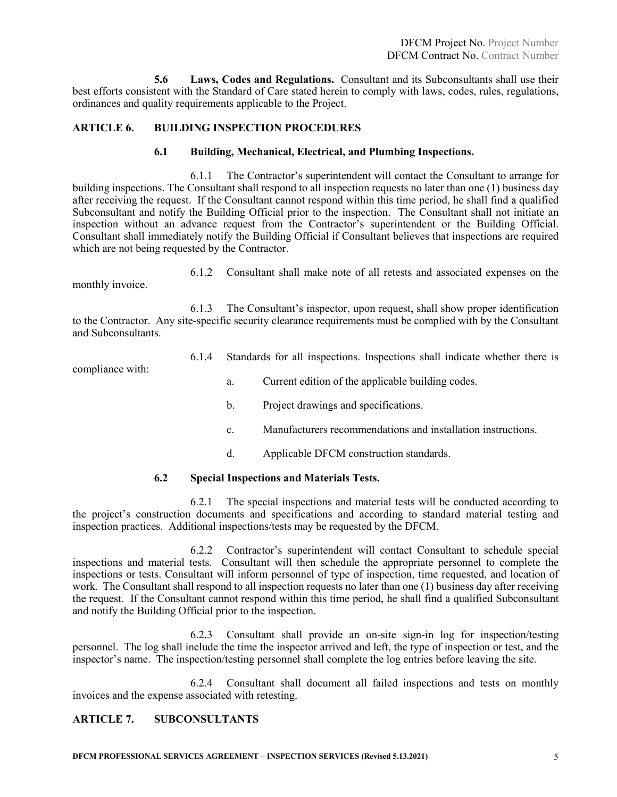**5.6 Laws, Codes and Regulations.** Consultant and its Subconsultants shall use their best efforts consistent with the Standard of Care stated herein to comply with laws, codes, rules, regulations, ordinances and quality requirements applicable to the Project.

### **ARTICLE 6. BUILDING INSPECTION PROCEDURES**

#### **6.1 Building, Mechanical, Electrical, and Plumbing Inspections.**

6.1.1 The Contractor's superintendent will contact the Consultant to arrange for building inspections. The Consultant shall respond to all inspection requests no later than one (1) business day after receiving the request. If the Consultant cannot respond within this time period, he shall find a qualified Subconsultant and notify the Building Official prior to the inspection. The Consultant shall not initiate an inspection without an advance request from the Contractor's superintendent or the Building Official. Consultant shall immediately notify the Building Official if Consultant believes that inspections are required which are not being requested by the Contractor.

monthly invoice.

6.1.2 Consultant shall make note of all retests and associated expenses on the

6.1.3 The Consultant's inspector, upon request, shall show proper identification to the Contractor. Any site-specific security clearance requirements must be complied with by the Consultant and Subconsultants.

compliance with:

- 6.1.4 Standards for all inspections. Inspections shall indicate whether there is
	- a. Current edition of the applicable building codes.
	- b. Project drawings and specifications.
	- c. Manufacturers recommendations and installation instructions.
	- d. Applicable DFCM construction standards.

#### **6.2 Special Inspections and Materials Tests.**

6.2.1 The special inspections and material tests will be conducted according to the project's construction documents and specifications and according to standard material testing and inspection practices. Additional inspections/tests may be requested by the DFCM.

6.2.2 Contractor's superintendent will contact Consultant to schedule special inspections and material tests. Consultant will then schedule the appropriate personnel to complete the inspections or tests. Consultant will inform personnel of type of inspection, time requested, and location of work. The Consultant shall respond to all inspection requests no later than one (1) business day after receiving the request. If the Consultant cannot respond within this time period, he shall find a qualified Subconsultant and notify the Building Official prior to the inspection.

6.2.3 Consultant shall provide an on-site sign-in log for inspection/testing personnel. The log shall include the time the inspector arrived and left, the type of inspection or test, and the inspector's name. The inspection/testing personnel shall complete the log entries before leaving the site.

6.2.4 Consultant shall document all failed inspections and tests on monthly invoices and the expense associated with retesting.

# **ARTICLE 7. SUBCONSULTANTS**

**DFCM PROFESSIONAL SERVICES AGREEMENT – INSPECTION SERVICES (Revised 5.13.2021)** 5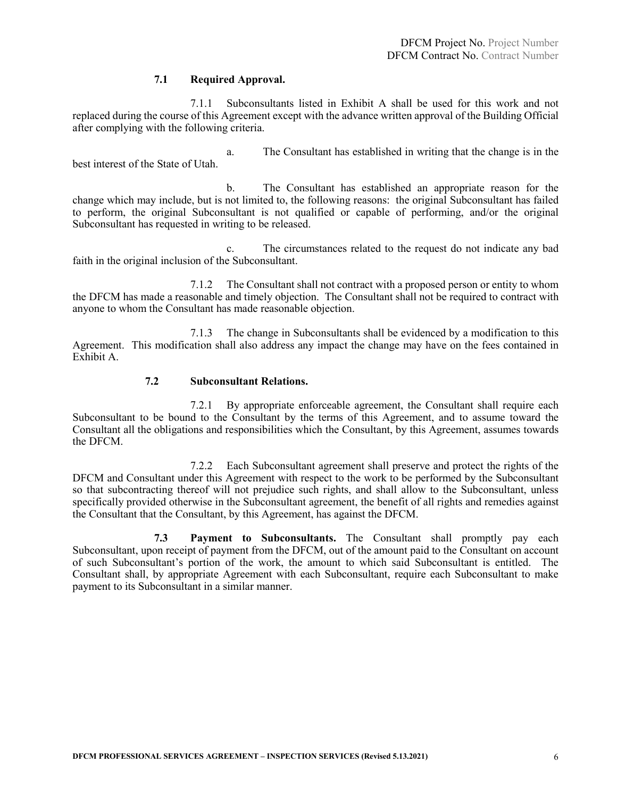#### **7.1 Required Approval.**

7.1.1 Subconsultants listed in Exhibit A shall be used for this work and not replaced during the course of this Agreement except with the advance written approval of the Building Official after complying with the following criteria.

a. The Consultant has established in writing that the change is in the best interest of the State of Utah.

b. The Consultant has established an appropriate reason for the change which may include, but is not limited to, the following reasons: the original Subconsultant has failed to perform, the original Subconsultant is not qualified or capable of performing, and/or the original Subconsultant has requested in writing to be released.

c. The circumstances related to the request do not indicate any bad faith in the original inclusion of the Subconsultant.

7.1.2 The Consultant shall not contract with a proposed person or entity to whom the DFCM has made a reasonable and timely objection. The Consultant shall not be required to contract with anyone to whom the Consultant has made reasonable objection.

7.1.3 The change in Subconsultants shall be evidenced by a modification to this Agreement. This modification shall also address any impact the change may have on the fees contained in Exhibit A.

#### **7.2 Subconsultant Relations.**

7.2.1 By appropriate enforceable agreement, the Consultant shall require each Subconsultant to be bound to the Consultant by the terms of this Agreement, and to assume toward the Consultant all the obligations and responsibilities which the Consultant, by this Agreement, assumes towards the DFCM.

7.2.2 Each Subconsultant agreement shall preserve and protect the rights of the DFCM and Consultant under this Agreement with respect to the work to be performed by the Subconsultant so that subcontracting thereof will not prejudice such rights, and shall allow to the Subconsultant, unless specifically provided otherwise in the Subconsultant agreement, the benefit of all rights and remedies against the Consultant that the Consultant, by this Agreement, has against the DFCM.

**7.3 Payment to Subconsultants.** The Consultant shall promptly pay each Subconsultant, upon receipt of payment from the DFCM, out of the amount paid to the Consultant on account of such Subconsultant's portion of the work, the amount to which said Subconsultant is entitled. The Consultant shall, by appropriate Agreement with each Subconsultant, require each Subconsultant to make payment to its Subconsultant in a similar manner.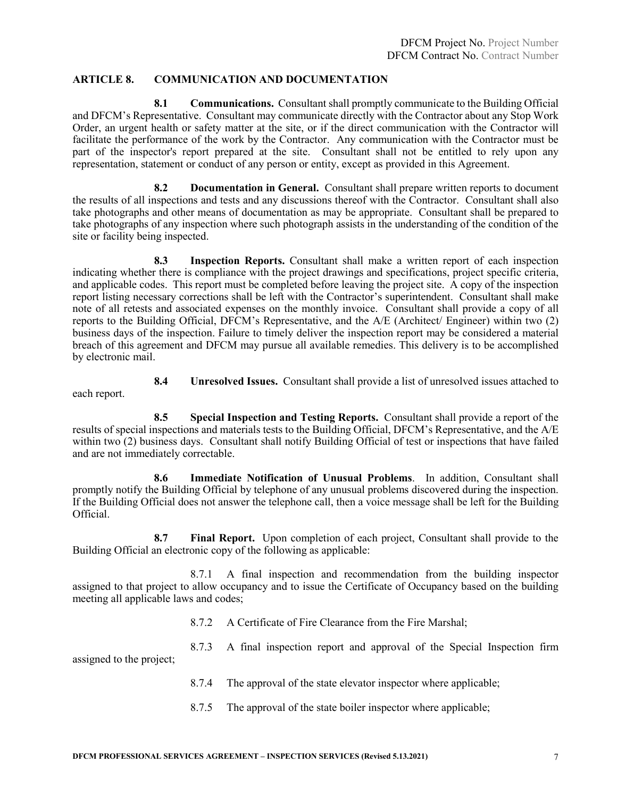#### **ARTICLE 8. COMMUNICATION AND DOCUMENTATION**

**8.1 Communications.** Consultant shall promptly communicate to the Building Official and DFCM's Representative. Consultant may communicate directly with the Contractor about any Stop Work Order, an urgent health or safety matter at the site, or if the direct communication with the Contractor will facilitate the performance of the work by the Contractor. Any communication with the Contractor must be part of the inspector's report prepared at the site. Consultant shall not be entitled to rely upon any representation, statement or conduct of any person or entity, except as provided in this Agreement.

**8.2 Documentation in General.** Consultant shall prepare written reports to document the results of all inspections and tests and any discussions thereof with the Contractor. Consultant shall also take photographs and other means of documentation as may be appropriate. Consultant shall be prepared to take photographs of any inspection where such photograph assists in the understanding of the condition of the site or facility being inspected.

**8.3 Inspection Reports.** Consultant shall make a written report of each inspection indicating whether there is compliance with the project drawings and specifications, project specific criteria, and applicable codes. This report must be completed before leaving the project site. A copy of the inspection report listing necessary corrections shall be left with the Contractor's superintendent. Consultant shall make note of all retests and associated expenses on the monthly invoice. Consultant shall provide a copy of all reports to the Building Official, DFCM's Representative, and the A/E (Architect/ Engineer) within two (2) business days of the inspection. Failure to timely deliver the inspection report may be considered a material breach of this agreement and DFCM may pursue all available remedies. This delivery is to be accomplished by electronic mail.

**8.4 Unresolved Issues.** Consultant shall provide a list of unresolved issues attached to each report.

**8.5 Special Inspection and Testing Reports.** Consultant shall provide a report of the results of special inspections and materials tests to the Building Official, DFCM's Representative, and the A/E within two (2) business days. Consultant shall notify Building Official of test or inspections that have failed and are not immediately correctable.

**8.6 Immediate Notification of Unusual Problems**. In addition, Consultant shall promptly notify the Building Official by telephone of any unusual problems discovered during the inspection. If the Building Official does not answer the telephone call, then a voice message shall be left for the Building Official.

**8.7 Final Report.** Upon completion of each project, Consultant shall provide to the Building Official an electronic copy of the following as applicable:

8.7.1 A final inspection and recommendation from the building inspector assigned to that project to allow occupancy and to issue the Certificate of Occupancy based on the building meeting all applicable laws and codes;

8.7.2 A Certificate of Fire Clearance from the Fire Marshal;

assigned to the project;

8.7.4 The approval of the state elevator inspector where applicable;

8.7.3 A final inspection report and approval of the Special Inspection firm

8.7.5 The approval of the state boiler inspector where applicable;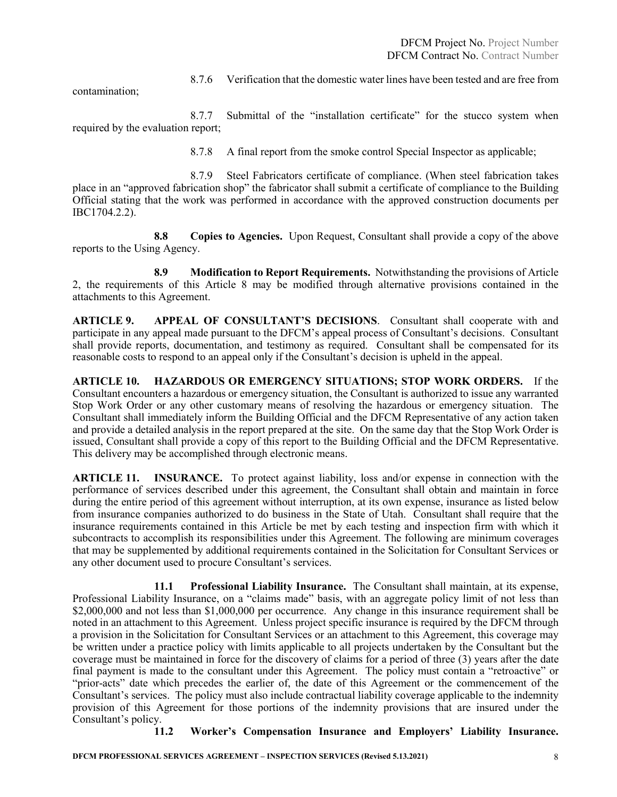contamination;

8.7.6 Verification that the domestic water lines have been tested and are free from

8.7.7 Submittal of the "installation certificate" for the stucco system when required by the evaluation report;

8.7.8 A final report from the smoke control Special Inspector as applicable;

8.7.9 Steel Fabricators certificate of compliance. (When steel fabrication takes place in an "approved fabrication shop" the fabricator shall submit a certificate of compliance to the Building Official stating that the work was performed in accordance with the approved construction documents per IBC1704.2.2).

**8.8 Copies to Agencies.** Upon Request, Consultant shall provide a copy of the above reports to the Using Agency.

**8.9 Modification to Report Requirements.** Notwithstanding the provisions of Article 2, the requirements of this Article 8 may be modified through alternative provisions contained in the attachments to this Agreement.

**ARTICLE 9. APPEAL OF CONSULTANT'S DECISIONS**. Consultant shall cooperate with and participate in any appeal made pursuant to the DFCM's appeal process of Consultant's decisions. Consultant shall provide reports, documentation, and testimony as required. Consultant shall be compensated for its reasonable costs to respond to an appeal only if the Consultant's decision is upheld in the appeal.

**ARTICLE 10. HAZARDOUS OR EMERGENCY SITUATIONS; STOP WORK ORDERS.** If the Consultant encounters a hazardous or emergency situation, the Consultant is authorized to issue any warranted Stop Work Order or any other customary means of resolving the hazardous or emergency situation. The Consultant shall immediately inform the Building Official and the DFCM Representative of any action taken and provide a detailed analysis in the report prepared at the site. On the same day that the Stop Work Order is issued, Consultant shall provide a copy of this report to the Building Official and the DFCM Representative. This delivery may be accomplished through electronic means.

**ARTICLE 11. INSURANCE.** To protect against liability, loss and/or expense in connection with the performance of services described under this agreement, the Consultant shall obtain and maintain in force during the entire period of this agreement without interruption, at its own expense, insurance as listed below from insurance companies authorized to do business in the State of Utah. Consultant shall require that the insurance requirements contained in this Article be met by each testing and inspection firm with which it subcontracts to accomplish its responsibilities under this Agreement. The following are minimum coverages that may be supplemented by additional requirements contained in the Solicitation for Consultant Services or any other document used to procure Consultant's services.

**11.1 Professional Liability Insurance.** The Consultant shall maintain, at its expense, Professional Liability Insurance, on a "claims made" basis, with an aggregate policy limit of not less than \$2,000,000 and not less than \$1,000,000 per occurrence. Any change in this insurance requirement shall be noted in an attachment to this Agreement. Unless project specific insurance is required by the DFCM through a provision in the Solicitation for Consultant Services or an attachment to this Agreement, this coverage may be written under a practice policy with limits applicable to all projects undertaken by the Consultant but the coverage must be maintained in force for the discovery of claims for a period of three (3) years after the date final payment is made to the consultant under this Agreement. The policy must contain a "retroactive" or "prior-acts" date which precedes the earlier of, the date of this Agreement or the commencement of the Consultant's services. The policy must also include contractual liability coverage applicable to the indemnity provision of this Agreement for those portions of the indemnity provisions that are insured under the Consultant's policy.

**11.2 Worker's Compensation Insurance and Employers' Liability Insurance.**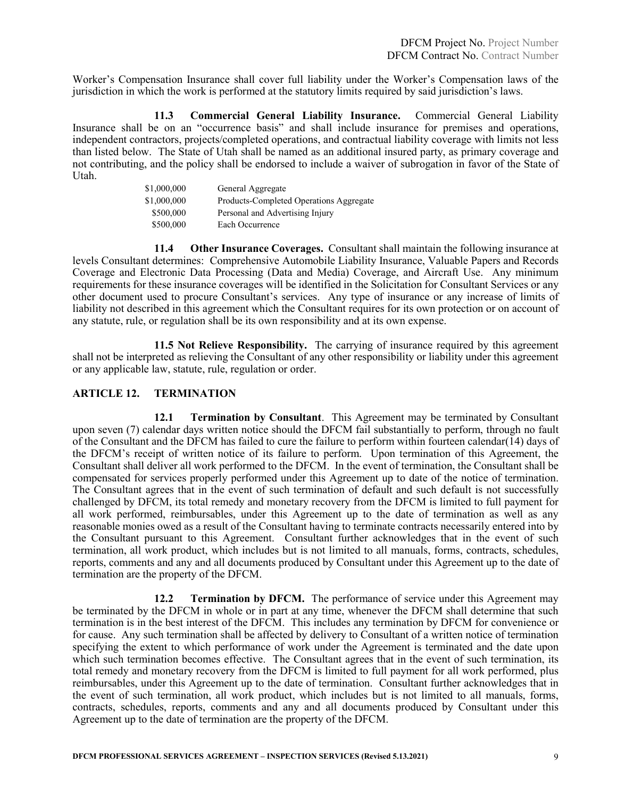Worker's Compensation Insurance shall cover full liability under the Worker's Compensation laws of the jurisdiction in which the work is performed at the statutory limits required by said jurisdiction's laws.

**11.3 Commercial General Liability Insurance.** Commercial General Liability Insurance shall be on an "occurrence basis" and shall include insurance for premises and operations, independent contractors, projects/completed operations, and contractual liability coverage with limits not less than listed below. The State of Utah shall be named as an additional insured party, as primary coverage and not contributing, and the policy shall be endorsed to include a waiver of subrogation in favor of the State of Utah.

| \$1,000,000 | General Aggregate                       |
|-------------|-----------------------------------------|
| \$1,000,000 | Products-Completed Operations Aggregate |
| \$500,000   | Personal and Advertising Injury         |
| \$500,000   | Each Occurrence                         |

**11.4 Other Insurance Coverages.** Consultant shall maintain the following insurance at levels Consultant determines: Comprehensive Automobile Liability Insurance, Valuable Papers and Records Coverage and Electronic Data Processing (Data and Media) Coverage, and Aircraft Use. Any minimum requirements for these insurance coverages will be identified in the Solicitation for Consultant Services or any other document used to procure Consultant's services. Any type of insurance or any increase of limits of liability not described in this agreement which the Consultant requires for its own protection or on account of any statute, rule, or regulation shall be its own responsibility and at its own expense.

**11.5 Not Relieve Responsibility.** The carrying of insurance required by this agreement shall not be interpreted as relieving the Consultant of any other responsibility or liability under this agreement or any applicable law, statute, rule, regulation or order.

#### **ARTICLE 12. TERMINATION**

**12.1 Termination by Consultant**. This Agreement may be terminated by Consultant upon seven (7) calendar days written notice should the DFCM fail substantially to perform, through no fault of the Consultant and the DFCM has failed to cure the failure to perform within fourteen calendar(14) days of the DFCM's receipt of written notice of its failure to perform. Upon termination of this Agreement, the Consultant shall deliver all work performed to the DFCM. In the event of termination, the Consultant shall be compensated for services properly performed under this Agreement up to date of the notice of termination. The Consultant agrees that in the event of such termination of default and such default is not successfully challenged by DFCM, its total remedy and monetary recovery from the DFCM is limited to full payment for all work performed, reimbursables, under this Agreement up to the date of termination as well as any reasonable monies owed as a result of the Consultant having to terminate contracts necessarily entered into by the Consultant pursuant to this Agreement. Consultant further acknowledges that in the event of such termination, all work product, which includes but is not limited to all manuals, forms, contracts, schedules, reports, comments and any and all documents produced by Consultant under this Agreement up to the date of termination are the property of the DFCM.

**12.2 Termination by DFCM.** The performance of service under this Agreement may be terminated by the DFCM in whole or in part at any time, whenever the DFCM shall determine that such termination is in the best interest of the DFCM. This includes any termination by DFCM for convenience or for cause. Any such termination shall be affected by delivery to Consultant of a written notice of termination specifying the extent to which performance of work under the Agreement is terminated and the date upon which such termination becomes effective. The Consultant agrees that in the event of such termination, its total remedy and monetary recovery from the DFCM is limited to full payment for all work performed, plus reimbursables, under this Agreement up to the date of termination. Consultant further acknowledges that in the event of such termination, all work product, which includes but is not limited to all manuals, forms, contracts, schedules, reports, comments and any and all documents produced by Consultant under this Agreement up to the date of termination are the property of the DFCM.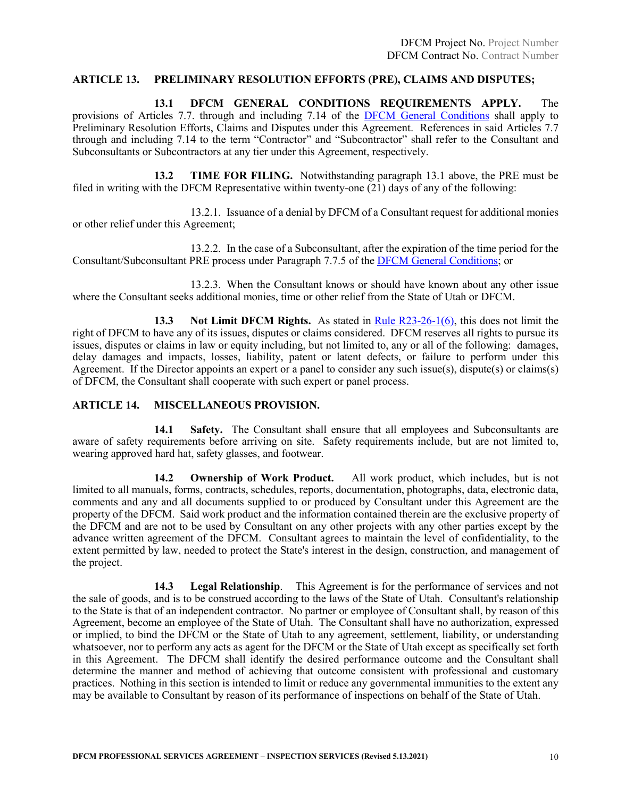#### **ARTICLE 13. PRELIMINARY RESOLUTION EFFORTS (PRE), CLAIMS AND DISPUTES;**

**13.1 DFCM GENERAL CONDITIONS REQUIREMENTS APPLY.** The provisions of Articles 7.7. through and including 7.14 of the [DFCM General Conditions](https://dfcm.utah.gov/construction-management/#documents) shall apply to Preliminary Resolution Efforts, Claims and Disputes under this Agreement. References in said Articles 7.7 through and including 7.14 to the term "Contractor" and "Subcontractor" shall refer to the Consultant and Subconsultants or Subcontractors at any tier under this Agreement, respectively.

**13.2 TIME FOR FILING.** Notwithstanding paragraph 13.1 above, the PRE must be filed in writing with the DFCM Representative within twenty-one (21) days of any of the following:

13.2.1. Issuance of a denial by DFCM of a Consultant request for additional monies or other relief under this Agreement;

13.2.2. In the case of a Subconsultant, after the expiration of the time period for the Consultant/Subconsultant PRE process under Paragraph 7.7.5 of the [DFCM General Conditions;](https://dfcm.utah.gov/construction-management/#documents) or

13.2.3. When the Consultant knows or should have known about any other issue where the Consultant seeks additional monies, time or other relief from the State of Utah or DFCM.

**13.3 Not Limit DFCM Rights.** As stated in [Rule R23-26-1\(6\),](https://rules.utah.gov/publicat/code/r023/r023-026.htm) this does not limit the right of DFCM to have any of its issues, disputes or claims considered. DFCM reserves all rights to pursue its issues, disputes or claims in law or equity including, but not limited to, any or all of the following: damages, delay damages and impacts, losses, liability, patent or latent defects, or failure to perform under this Agreement. If the Director appoints an expert or a panel to consider any such issue(s), dispute(s) or claims(s) of DFCM, the Consultant shall cooperate with such expert or panel process.

#### **ARTICLE 14. MISCELLANEOUS PROVISION.**

**14.1 Safety.** The Consultant shall ensure that all employees and Subconsultants are aware of safety requirements before arriving on site. Safety requirements include, but are not limited to, wearing approved hard hat, safety glasses, and footwear.

**14.2 Ownership of Work Product.** All work product, which includes, but is not limited to all manuals, forms, contracts, schedules, reports, documentation, photographs, data, electronic data, comments and any and all documents supplied to or produced by Consultant under this Agreement are the property of the DFCM. Said work product and the information contained therein are the exclusive property of the DFCM and are not to be used by Consultant on any other projects with any other parties except by the advance written agreement of the DFCM. Consultant agrees to maintain the level of confidentiality, to the extent permitted by law, needed to protect the State's interest in the design, construction, and management of the project.

**14.3 Legal Relationship**. This Agreement is for the performance of services and not the sale of goods, and is to be construed according to the laws of the State of Utah. Consultant's relationship to the State is that of an independent contractor. No partner or employee of Consultant shall, by reason of this Agreement, become an employee of the State of Utah. The Consultant shall have no authorization, expressed or implied, to bind the DFCM or the State of Utah to any agreement, settlement, liability, or understanding whatsoever, nor to perform any acts as agent for the DFCM or the State of Utah except as specifically set forth in this Agreement. The DFCM shall identify the desired performance outcome and the Consultant shall determine the manner and method of achieving that outcome consistent with professional and customary practices. Nothing in this section is intended to limit or reduce any governmental immunities to the extent any may be available to Consultant by reason of its performance of inspections on behalf of the State of Utah.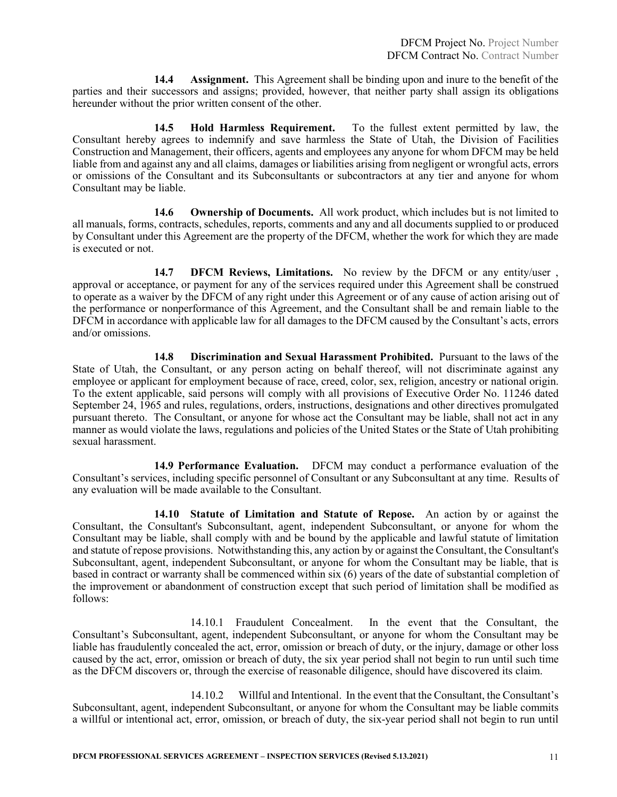**14.4 Assignment.** This Agreement shall be binding upon and inure to the benefit of the parties and their successors and assigns; provided, however, that neither party shall assign its obligations hereunder without the prior written consent of the other.

**14.5 Hold Harmless Requirement.** To the fullest extent permitted by law, the Consultant hereby agrees to indemnify and save harmless the State of Utah, the Division of Facilities Construction and Management, their officers, agents and employees any anyone for whom DFCM may be held liable from and against any and all claims, damages or liabilities arising from negligent or wrongful acts, errors or omissions of the Consultant and its Subconsultants or subcontractors at any tier and anyone for whom Consultant may be liable.

**14.6 Ownership of Documents.** All work product, which includes but is not limited to all manuals, forms, contracts, schedules, reports, comments and any and all documents supplied to or produced by Consultant under this Agreement are the property of the DFCM, whether the work for which they are made is executed or not.

**14.7 DFCM Reviews, Limitations.** No review by the DFCM or any entity/user , approval or acceptance, or payment for any of the services required under this Agreement shall be construed to operate as a waiver by the DFCM of any right under this Agreement or of any cause of action arising out of the performance or nonperformance of this Agreement, and the Consultant shall be and remain liable to the DFCM in accordance with applicable law for all damages to the DFCM caused by the Consultant's acts, errors and/or omissions.

**14.8 Discrimination and Sexual Harassment Prohibited.** Pursuant to the laws of the State of Utah, the Consultant, or any person acting on behalf thereof, will not discriminate against any employee or applicant for employment because of race, creed, color, sex, religion, ancestry or national origin. To the extent applicable, said persons will comply with all provisions of Executive Order No. 11246 dated September 24, 1965 and rules, regulations, orders, instructions, designations and other directives promulgated pursuant thereto. The Consultant, or anyone for whose act the Consultant may be liable, shall not act in any manner as would violate the laws, regulations and policies of the United States or the State of Utah prohibiting sexual harassment.

**14.9 Performance Evaluation.** DFCM may conduct a performance evaluation of the Consultant's services, including specific personnel of Consultant or any Subconsultant at any time. Results of any evaluation will be made available to the Consultant.

**14.10 Statute of Limitation and Statute of Repose.** An action by or against the Consultant, the Consultant's Subconsultant, agent, independent Subconsultant, or anyone for whom the Consultant may be liable, shall comply with and be bound by the applicable and lawful statute of limitation and statute of repose provisions. Notwithstanding this, any action by or against the Consultant, the Consultant's Subconsultant, agent, independent Subconsultant, or anyone for whom the Consultant may be liable, that is based in contract or warranty shall be commenced within six (6) years of the date of substantial completion of the improvement or abandonment of construction except that such period of limitation shall be modified as follows:

14.10.1 Fraudulent Concealment. In the event that the Consultant, the Consultant's Subconsultant, agent, independent Subconsultant, or anyone for whom the Consultant may be liable has fraudulently concealed the act, error, omission or breach of duty, or the injury, damage or other loss caused by the act, error, omission or breach of duty, the six year period shall not begin to run until such time as the DFCM discovers or, through the exercise of reasonable diligence, should have discovered its claim.

14.10.2 Willful and Intentional. In the event that the Consultant, the Consultant's Subconsultant, agent, independent Subconsultant, or anyone for whom the Consultant may be liable commits a willful or intentional act, error, omission, or breach of duty, the six-year period shall not begin to run until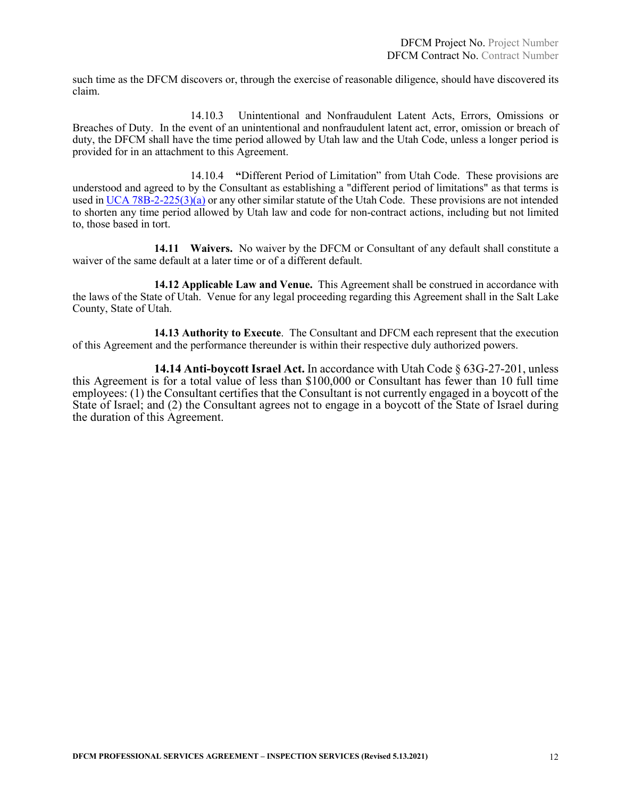such time as the DFCM discovers or, through the exercise of reasonable diligence, should have discovered its claim.

14.10.3 Unintentional and Nonfraudulent Latent Acts, Errors, Omissions or Breaches of Duty. In the event of an unintentional and nonfraudulent latent act, error, omission or breach of duty, the DFCM shall have the time period allowed by Utah law and the Utah Code, unless a longer period is provided for in an attachment to this Agreement.

14.10.4 **"**Different Period of Limitation" from Utah Code. These provisions are understood and agreed to by the Consultant as establishing a "different period of limitations" as that terms is used i[n UCA 78B-2-225\(3\)\(a\)](https://le.utah.gov/xcode/Title78B/Chapter2/78B-2-S225.html?v=C78B-2-S225_1800010118000101) or any other similar statute of the Utah Code. These provisions are not intended to shorten any time period allowed by Utah law and code for non-contract actions, including but not limited to, those based in tort.

**14.11 Waivers.** No waiver by the DFCM or Consultant of any default shall constitute a waiver of the same default at a later time or of a different default.

**14.12 Applicable Law and Venue.** This Agreement shall be construed in accordance with the laws of the State of Utah. Venue for any legal proceeding regarding this Agreement shall in the Salt Lake County, State of Utah.

**14.13 Authority to Execute**. The Consultant and DFCM each represent that the execution of this Agreement and the performance thereunder is within their respective duly authorized powers.

**14.14 Anti-boycott Israel Act.** In accordance with Utah Code § 63G-27-201, unless this Agreement is for a total value of less than \$100,000 or Consultant has fewer than 10 full time employees: (1) the Consultant certifies that the Consultant is not currently engaged in a boycott of the State of Israel; and (2) the Consultant agrees not to engage in a boycott of the State of Israel during the duration of this Agreement.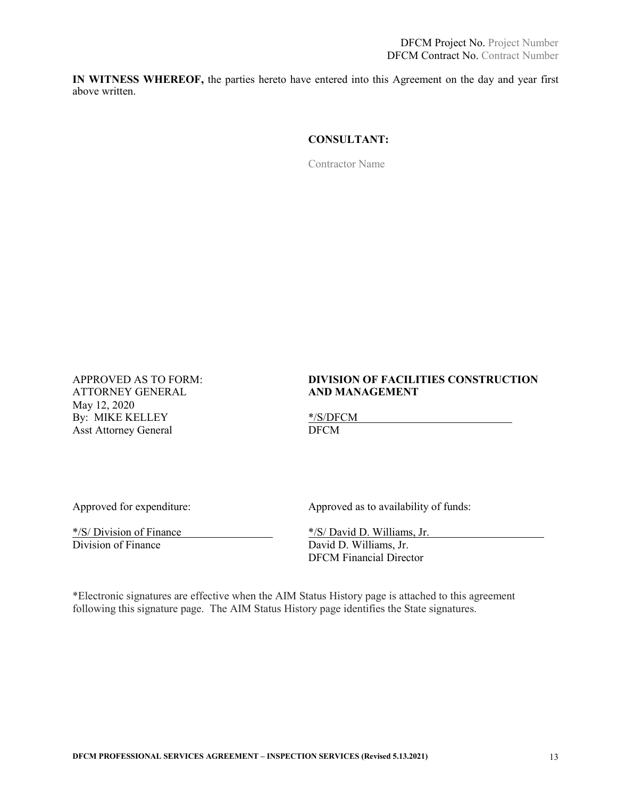**IN WITNESS WHEREOF,** the parties hereto have entered into this Agreement on the day and year first above written.

### **CONSULTANT:**

Contractor Name

**ATTORNEY GENERAL** May 12, 2020 By: MIKE KELLEY<br>
Asst Attorney General<br>
DFCM Asst Attorney General

# APPROVED AS TO FORM: **DIVISION OF FACILITIES CONSTRUCTION**

 $\frac{\frac{k}{S}}{\text{Division of Finance}}$   $\frac{\frac{k}{S}}{\text{David D. Williams, Jr.}}$   $\frac{\frac{k}{S}}{\text{David D. Williams, Jr.}}$ 

Approved for expenditure: Approved as to availability of funds:

David D. Williams, Jr. DFCM Financial Director

\*Electronic signatures are effective when the AIM Status History page is attached to this agreement following this signature page. The AIM Status History page identifies the State signatures.